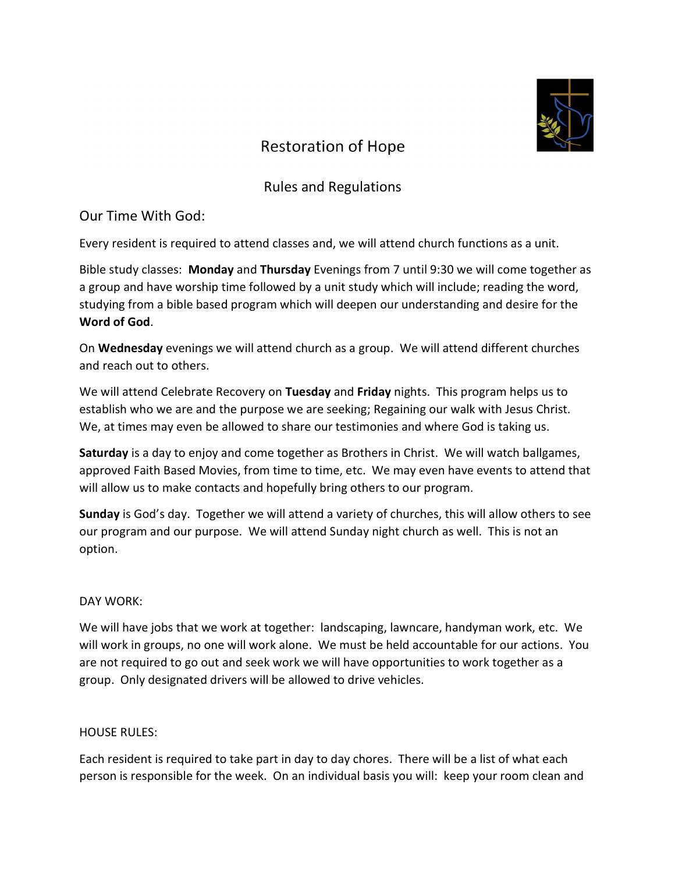

# **Restoration of Hope**

# Rules and Regulations

# Our Time With God:

Every resident is required to attend classes and, we will attend church functions as a unit.

Bible study classes: Monday and Thursday Evenings from 7 until 9:30 we will come together as a group and have worship time followed by a unit study which will include; reading the word, studying from a bible based program which will deepen our understanding and desire for the Word of God.

On Wednesday evenings we will attend church as a group. We will attend different churches and reach out to others.

We will attend Celebrate Recovery on Tuesday and Friday nights. This program helps us to establish who we are and the purpose we are seeking; Regaining our walk with Jesus Christ. We, at times may even be allowed to share our testimonies and where God is taking us.

Saturday is a day to enjoy and come together as Brothers in Christ. We will watch ballgames, approved Faith Based Movies, from time to time, etc. We may even have events to attend that will allow us to make contacts and hopefully bring others to our program.

Sunday is God's day. Together we will attend a variety of churches, this will allow others to see our program and our purpose. We will attend Sunday night church as well. This is not an option.

## DAY WORK:

We will have jobs that we work at together: landscaping, lawncare, handyman work, etc. We will work in groups, no one will work alone. We must be held accountable for our actions. You are not required to go out and seek work we will have opportunities to work together as a group. Only designated drivers will be allowed to drive vehicles.

## HOUSE RULES:

Each resident is required to take part in day to day chores. There will be a list of what each person is responsible for the week. On an individual basis you will: keep your room clean and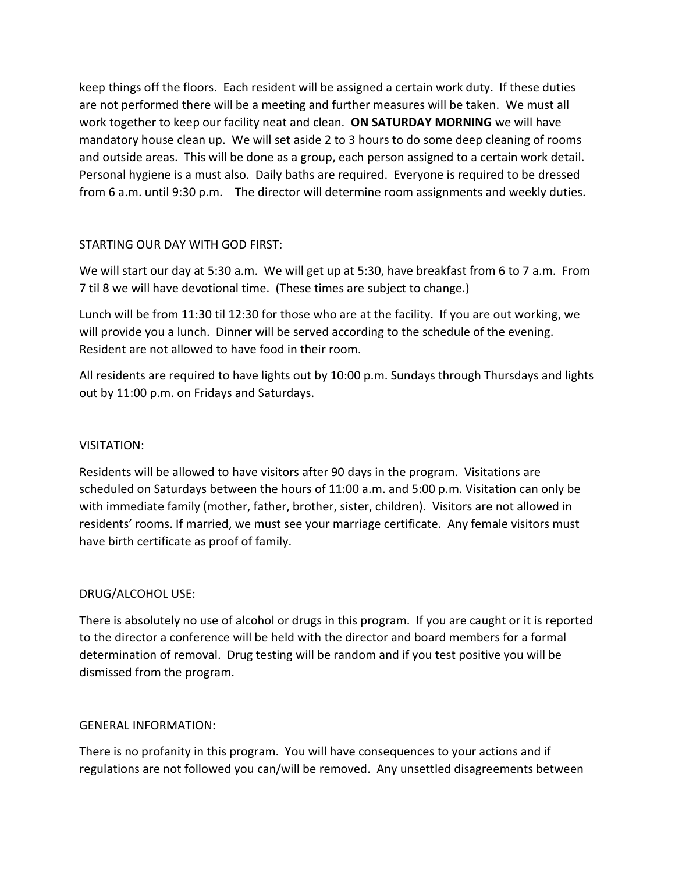keep things off the floors. Each resident will be assigned a certain work duty. If these duties are not performed there will be a meeting and further measures will be taken. We must all work together to keep our facility neat and clean. ON SATURDAY MORNING we will have mandatory house clean up. We will set aside 2 to 3 hours to do some deep cleaning of rooms and outside areas. This will be done as a group, each person assigned to a certain work detail. Personal hygiene is a must also. Daily baths are required. Everyone is required to be dressed from 6 a.m. until 9:30 p.m. The director will determine room assignments and weekly duties.

#### STARTING OUR DAY WITH GOD FIRST:

We will start our day at 5:30 a.m. We will get up at 5:30, have breakfast from 6 to 7 a.m. From 7 til 8 we will have devotional time. (These times are subject to change.)

Lunch will be from 11:30 til 12:30 for those who are at the facility. If you are out working, we will provide you a lunch. Dinner will be served according to the schedule of the evening. Resident are not allowed to have food in their room.

All residents are required to have lights out by 10:00 p.m. Sundays through Thursdays and lights out by 11:00 p.m. on Fridays and Saturdays.

## VISITATION:

Residents will be allowed to have visitors after 90 days in the program. Visitations are scheduled on Saturdays between the hours of 11:00 a.m. and 5:00 p.m. Visitation can only be with immediate family (mother, father, brother, sister, children). Visitors are not allowed in residents' rooms. If married, we must see your marriage certificate. Any female visitors must have birth certificate as proof of family.

#### DRUG/ALCOHOL USE:

There is absolutely no use of alcohol or drugs in this program. If you are caught or it is reported to the director a conference will be held with the director and board members for a formal determination of removal. Drug testing will be random and if you test positive you will be dismissed from the program.

#### GENERAL INFORMATION:

There is no profanity in this program. You will have consequences to your actions and if regulations are not followed you can/will be removed. Any unsettled disagreements between